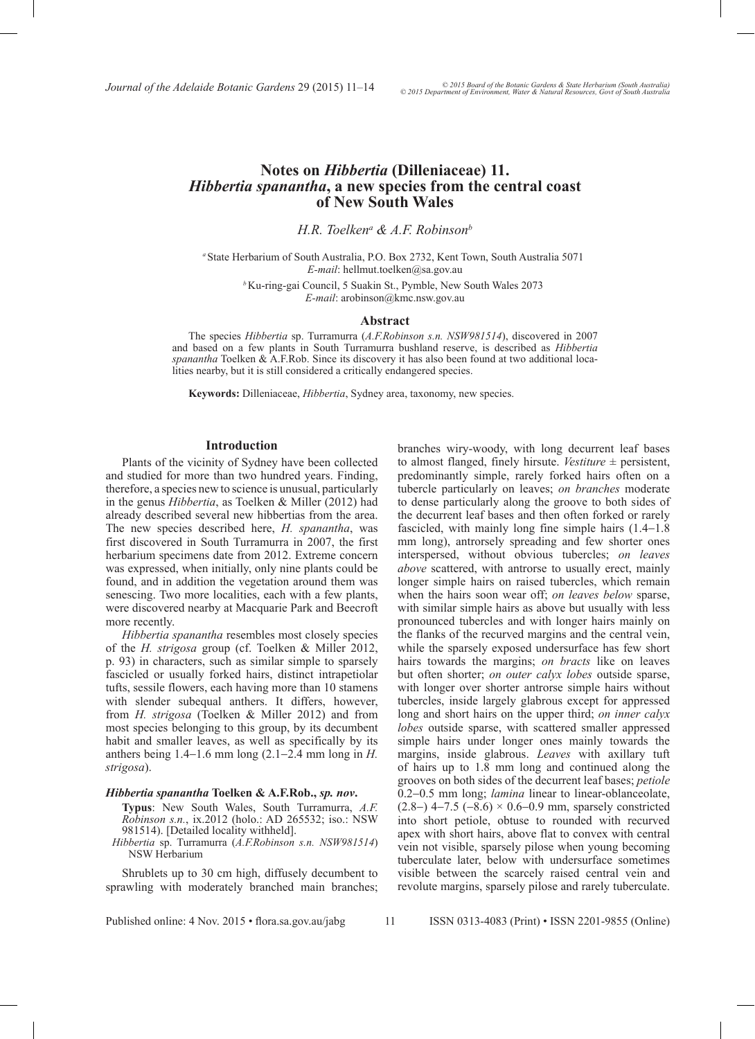*Journal of the Adelaide Botanic Gardens 29 (2015) 11–14*  $\degree$   $\degree$   $\degree$  2015 Departum Australian Australian Control of the Adelaide Botanic Gardens 29 (2015) 11–14

# **Notes on** *Hibbertia* **(Dilleniaceae) 11.**  *Hibbertia spanantha***, a new species from the central coast of New South Wales**

*H.R. Toelkena & A.F. Robinsonb*

*<sup>a</sup>*State Herbarium of South Australia, P.O. Box 2732, Kent Town, South Australia 5071 *E-mail*: hellmut.toelken@sa.gov.au

> *<sup>b</sup>*Ku-ring-gai Council, 5 Suakin St., Pymble, New South Wales 2073 *E-mail*: arobinson@kmc.nsw.gov.au

## **Abstract**

The species *Hibbertia* sp. Turramurra (*A.F.Robinson s.n. NSW981514*), discovered in 2007 and based on a few plants in South Turramurra bushland reserve, is described as *Hibbertia spanantha* Toelken & A.F.Rob. Since its discovery it has also been found at two additional localities nearby, but it is still considered a critically endangered species.

**Keywords:** Dilleniaceae, *Hibbertia*, Sydney area, taxonomy, new species.

### **Introduction**

Plants of the vicinity of Sydney have been collected and studied for more than two hundred years. Finding, therefore, a species new to science is unusual, particularly in the genus *Hibbertia*, as Toelken & Miller (2012) had already described several new hibbertias from the area. The new species described here, *H. spanantha*, was first discovered in South Turramurra in 2007, the first herbarium specimens date from 2012. Extreme concern was expressed, when initially, only nine plants could be found, and in addition the vegetation around them was senescing. Two more localities, each with a few plants, were discovered nearby at Macquarie Park and Beecroft more recently.

*Hibbertia spanantha* resembles most closely species of the *H. strigosa* group (cf. Toelken & Miller 2012, p. 93) in characters, such as similar simple to sparsely fascicled or usually forked hairs, distinct intrapetiolar tufts, sessile flowers, each having more than 10 stamens with slender subequal anthers. It differs, however, from *H. strigosa* (Toelken & Miller 2012) and from most species belonging to this group, by its decumbent habit and smaller leaves, as well as specifically by its anthers being 1.4−1.6 mm long (2.1−2.4 mm long in *H. strigosa*).

### *Hibbertia spanantha* **Toelken & A.F.Rob.,** *sp. nov***.**

- **Typus**: New South Wales, South Turramurra, *A.F. Robinson s.n.*, ix.2012 (holo.: AD 265532; iso.: NSW 981514). [Detailed locality withheld].
- *Hibbertia* sp. Turramurra (*A.F.Robinson s.n. NSW981514*) NSW Herbarium

Shrublets up to 30 cm high, diffusely decumbent to sprawling with moderately branched main branches; to almost flanged, finely hirsute. *Vestiture* ± persistent, predominantly simple, rarely forked hairs often on a tubercle particularly on leaves; *on branches* moderate to dense particularly along the groove to both sides of the decurrent leaf bases and then often forked or rarely fascicled, with mainly long fine simple hairs (1.4−1.8 mm long), antrorsely spreading and few shorter ones interspersed, without obvious tubercles; *on leaves above* scattered, with antrorse to usually erect, mainly longer simple hairs on raised tubercles, which remain when the hairs soon wear off; *on leaves below* sparse, with similar simple hairs as above but usually with less pronounced tubercles and with longer hairs mainly on the flanks of the recurved margins and the central vein, while the sparsely exposed undersurface has few short hairs towards the margins; *on bracts* like on leaves but often shorter; *on outer calyx lobes* outside sparse, with longer over shorter antrorse simple hairs without tubercles, inside largely glabrous except for appressed long and short hairs on the upper third; *on inner calyx lobes* outside sparse, with scattered smaller appressed simple hairs under longer ones mainly towards the margins, inside glabrous. *Leaves* with axillary tuft of hairs up to 1.8 mm long and continued along the grooves on both sides of the decurrent leaf bases; *petiole* 0.2−0.5 mm long; *lamina* linear to linear-oblanceolate, (2.8−) 4−7.5 (−8.6) × 0.6−0.9 mm, sparsely constricted into short petiole, obtuse to rounded with recurved apex with short hairs, above flat to convex with central vein not visible, sparsely pilose when young becoming tuberculate later, below with undersurface sometimes visible between the scarcely raised central vein and revolute margins, sparsely pilose and rarely tuberculate.

branches wiry-woody, with long decurrent leaf bases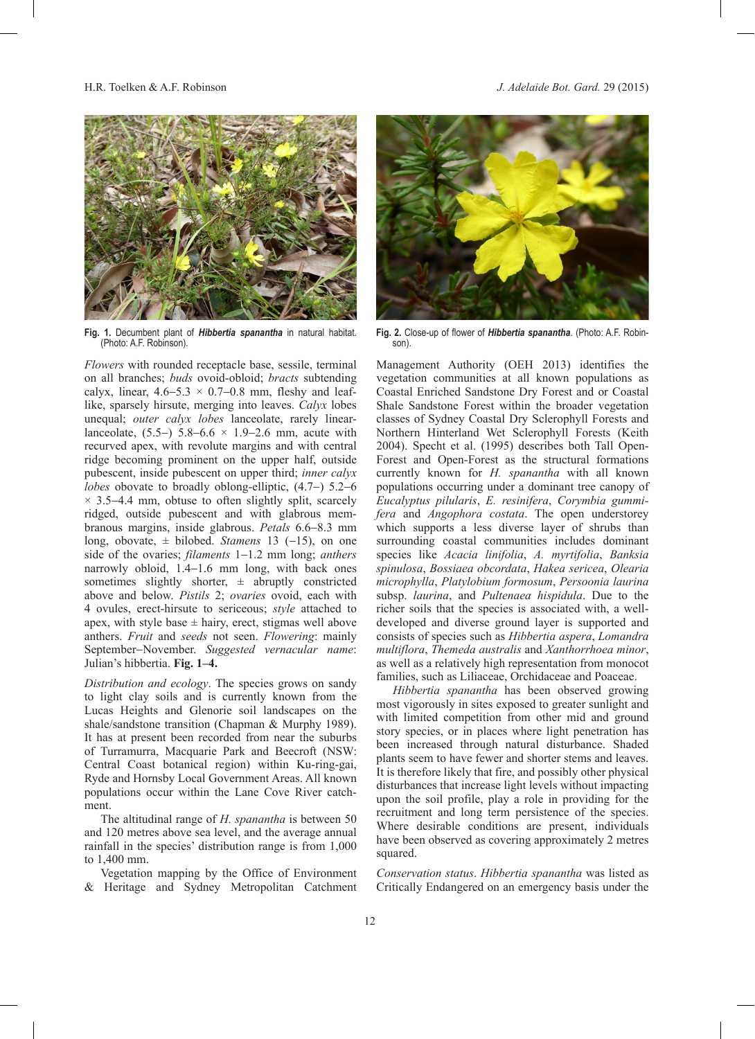H.R. Toelken & A.F. Robinson *J. Adelaide Bot. Gard.* 29 (2015)



**Fig. 1.** Decumbent plant of *Hibbertia spanantha* in natural habitat. (Photo: A.F. Robinson).

*Flowers* with rounded receptacle base, sessile, terminal on all branches; *buds* ovoid-obloid; *bracts* subtending calyx, linear,  $4.6-5.3 \times 0.7-0.8$  mm, fleshy and leaflike, sparsely hirsute, merging into leaves. *Calyx* lobes unequal; *outer calyx lobes* lanceolate, rarely linearlanceolate,  $(5.5-)$  5.8–6.6 × 1.9–2.6 mm, acute with recurved apex, with revolute margins and with central ridge becoming prominent on the upper half, outside pubescent, inside pubescent on upper third; *inner calyx lobes* obovate to broadly oblong-elliptic, (4.7−) 5.2−6 × 3.5−4.4 mm, obtuse to often slightly split, scarcely ridged, outside pubescent and with glabrous membranous margins, inside glabrous. *Petals* 6.6−8.3 mm long, obovate, ± bilobed. *Stamens* 13 (−15), on one side of the ovaries; *filaments* 1−1.2 mm long; *anthers* narrowly obloid, 1.4−1.6 mm long, with back ones sometimes slightly shorter,  $\pm$  abruptly constricted above and below. *Pistils* 2; *ovaries* ovoid, each with 4 ovules, erect-hirsute to sericeous; *style* attached to apex, with style base  $\pm$  hairy, erect, stigmas well above anthers. *Fruit* and *seeds* not seen. *Flowering*: mainly September−November. *Suggested vernacular name*: Julian's hibbertia. **Fig. 1–4.**

*Distribution and ecology*. The species grows on sandy to light clay soils and is currently known from the Lucas Heights and Glenorie soil landscapes on the shale/sandstone transition (Chapman & Murphy 1989). It has at present been recorded from near the suburbs of Turramurra, Macquarie Park and Beecroft (NSW: Central Coast botanical region) within Ku-ring-gai, Ryde and Hornsby Local Government Areas. All known populations occur within the Lane Cove River catchment.

The altitudinal range of *H. spanantha* is between 50 and 120 metres above sea level, and the average annual rainfall in the species' distribution range is from 1,000 to 1,400 mm.

Vegetation mapping by the Office of Environment & Heritage and Sydney Metropolitan Catchment



**Fig. 2.** Close-up of flower of *Hibbertia spanantha*. (Photo: A.F. Robinson).

Management Authority (OEH 2013) identifies the vegetation communities at all known populations as Coastal Enriched Sandstone Dry Forest and or Coastal Shale Sandstone Forest within the broader vegetation classes of Sydney Coastal Dry Sclerophyll Forests and Northern Hinterland Wet Sclerophyll Forests (Keith 2004). Specht et al. (1995) describes both Tall Open-Forest and Open-Forest as the structural formations currently known for *H. spanantha* with all known populations occurring under a dominant tree canopy of Eucalyptus pilularis, E. resinifera, Corymbia gummi*fera* and *Angophora costata*. The open understorey which supports a less diverse layer of shrubs than surrounding coastal communities includes dominant species like *Acacia linifolia*, *A. myrtifolia*, *Banksia spinulosa*, *Bossiaea obcordata*, *Hakea sericea*, *Olearia microphylla*, *Platylobium formosum*, *Persoonia laurina*  subsp. *laurina*, and *Pultenaea hispidula*. Due to the richer soils that the species is associated with, a welldeveloped and diverse ground layer is supported and consists of species such as *Hibbertia aspera*, *Lomandra multiflora*, *Themeda australis* and *Xanthorrhoea minor*, as well as a relatively high representation from monocot families, such as Liliaceae, Orchidaceae and Poaceae.

*Hibbertia spanantha* has been observed growing most vigorously in sites exposed to greater sunlight and with limited competition from other mid and ground story species, or in places where light penetration has been increased through natural disturbance. Shaded plants seem to have fewer and shorter stems and leaves. It is therefore likely that fire, and possibly other physical disturbances that increase light levels without impacting upon the soil profile, play a role in providing for the recruitment and long term persistence of the species. Where desirable conditions are present, individuals have been observed as covering approximately 2 metres squared.

*Conservation status*. *Hibbertia spanantha* was listed as Critically Endangered on an emergency basis under the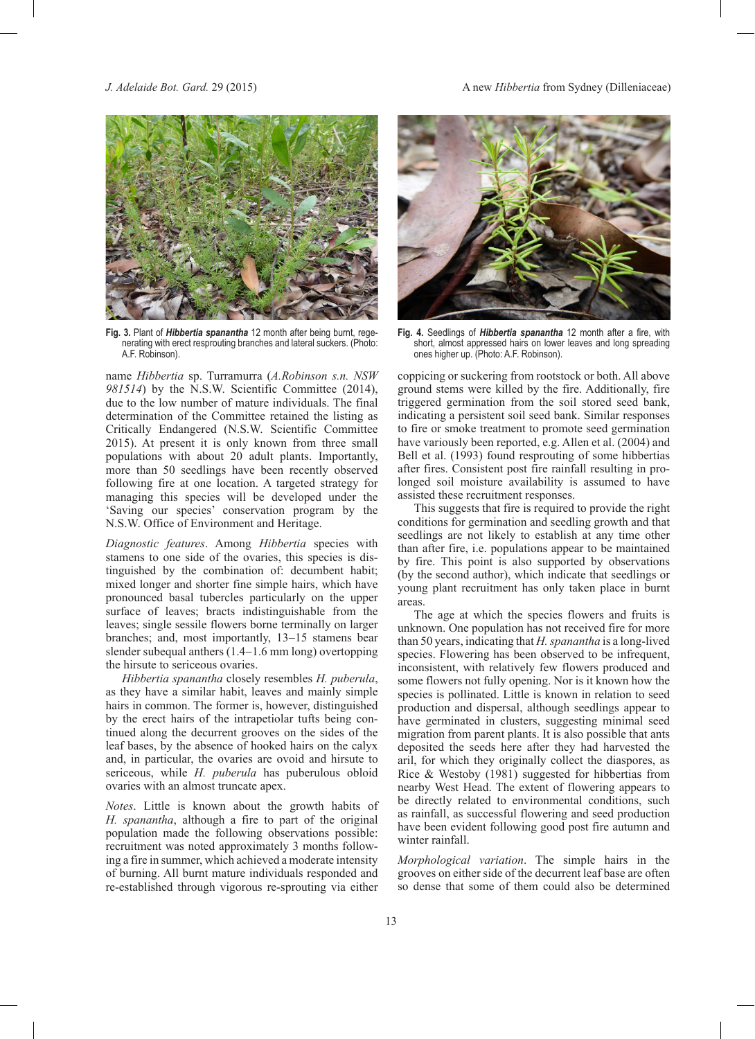*J. Adelaide Bot. Gard.* 29 (2015) A new *Hibbertia* from Sydney (Dilleniaceae)



Fig. 3. Plant of *Hibbertia spanantha* 12 month after being burnt, regenerating with erect resprouting branches and lateral suckers. (Photo: A.F. Robinson).

name *Hibbertia* sp. Turramurra (*A.Robinson s.n. NSW 981514*) by the N.S.W. Scientific Committee (2014), due to the low number of mature individuals. The final determination of the Committee retained the listing as Critically Endangered (N.S.W. Scientific Committee 2015). At present it is only known from three small populations with about 20 adult plants. Importantly, more than 50 seedlings have been recently observed following fire at one location. A targeted strategy for managing this species will be developed under the 'Saving our species' conservation program by the N.S.W. Office of Environment and Heritage.

*Diagnostic features*. Among *Hibbertia* species with stamens to one side of the ovaries, this species is distinguished by the combination of: decumbent habit; mixed longer and shorter fine simple hairs, which have pronounced basal tubercles particularly on the upper surface of leaves; bracts indistinguishable from the leaves; single sessile flowers borne terminally on larger branches; and, most importantly, 13−15 stamens bear slender subequal anthers (1.4−1.6 mm long) overtopping the hirsute to sericeous ovaries.

*Hibbertia spanantha* closely resembles *H. puberula*, as they have a similar habit, leaves and mainly simple hairs in common. The former is, however, distinguished by the erect hairs of the intrapetiolar tufts being continued along the decurrent grooves on the sides of the leaf bases, by the absence of hooked hairs on the calyx and, in particular, the ovaries are ovoid and hirsute to sericeous, while *H. puberula* has puberulous obloid ovaries with an almost truncate apex.

*Notes*. Little is known about the growth habits of *H. spanantha*, although a fire to part of the original population made the following observations possible: recruitment was noted approximately 3 months following a fire in summer, which achieved a moderate intensity of burning. All burnt mature individuals responded and re-established through vigorous re-sprouting via either



**Fig. 4.** Seedlings of *Hibbertia spanantha* 12 month after a fire, with short, almost appressed hairs on lower leaves and long spreading ones higher up. (Photo: A.F. Robinson).

coppicing or suckering from rootstock or both. All above ground stems were killed by the fire. Additionally, fire triggered germination from the soil stored seed bank, indicating a persistent soil seed bank. Similar responses to fire or smoke treatment to promote seed germination have variously been reported, e.g. Allen et al. (2004) and Bell et al. (1993) found resprouting of some hibbertias after fires. Consistent post fire rainfall resulting in prolonged soil moisture availability is assumed to have assisted these recruitment responses.

This suggests that fire is required to provide the right conditions for germination and seedling growth and that seedlings are not likely to establish at any time other than after fire, i.e. populations appear to be maintained by fire. This point is also supported by observations (by the second author), which indicate that seedlings or young plant recruitment has only taken place in burnt areas.

The age at which the species flowers and fruits is unknown. One population has not received fire for more than 50 years, indicating that *H. spanantha* is a long-lived species. Flowering has been observed to be infrequent, inconsistent, with relatively few flowers produced and some flowers not fully opening. Nor is it known how the species is pollinated. Little is known in relation to seed production and dispersal, although seedlings appear to have germinated in clusters, suggesting minimal seed migration from parent plants. It is also possible that ants deposited the seeds here after they had harvested the aril, for which they originally collect the diaspores, as Rice & Westoby (1981) suggested for hibbertias from nearby West Head. The extent of flowering appears to be directly related to environmental conditions, such as rainfall, as successful flowering and seed production have been evident following good post fire autumn and winter rainfall.

*Morphological variation*. The simple hairs in the grooves on either side of the decurrent leaf base are often so dense that some of them could also be determined